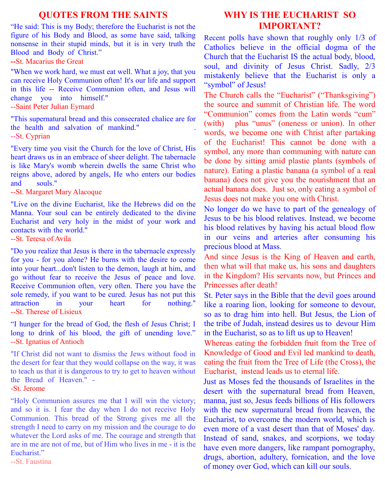## **QUOTES FROM THE SAINTS**

"He said: This is my Body; therefore the Eucharist is not the figure of his Body and Blood, as some have said, talking nonsense in their stupid minds, but it is in very truth the Blood and Body of Christ."

**--**St. Macarius the Great

"When we work hard, we must eat well. What a joy, that you can receive Holy Communion often! It's our life and support in this life -- Receive Communion often, and Jesus will change you into himself."

--Saint Peter Julian Eymard

"This supernatural bread and this consecrated chalice are for the health and salvation of mankind." --St. Cyprian

"Every time you visit the Church for the love of Christ, His heart draws us in an embrace of sheer delight. The tabernacle is like Mary's womb wherein dwells the same Christ who reigns above, adored by angels, He who enters our bodies and souls."

--St. Margaret Mary Alacoque

"Live on the divine Eucharist, like the Hebrews did on the Manna. Your soul can be entirely dedicated to the divine Eucharist and very holy in the midst of your work and contacts with the world."

--St. Teresa of Avila

"Do you realize that Jesus is there in the tabernacle expressly for you - for you alone? He burns with the desire to come into your heart...don't listen to the demon, laugh at him, and go without fear to receive the Jesus of peace and love. Receive Communion often, very often. There you have the sole remedy, if you want to be cured. Jesus has not put this attraction in your heart for nothing." --St. Therese of Lisieux

"I hunger for the bread of God, the flesh of Jesus Christ; I long to drink of his blood, the gift of unending love." --St. Ignatius of Antioch

"If Christ did not want to dismiss the Jews without food in the desert for fear that they would collapse on the way, it was to teach us that it is dangerous to try to get to heaven without the Bread of Heaven." -

-St. Jerome

"Holy Communion assures me that I will win the victory; and so it is. I fear the day when I do not receive Holy Communion. This bread of the Strong gives me all the strength I need to carry on my mission and the courage to do whatever the Lord asks of me. The courage and strength that are in me are not of me, but of Him who lives in me - it is the Eucharist."

--St. Faustina

## **WHY IS THE EUCHARIST SO IMPORTANT?**

Recent polls have shown that roughly only 1/3 of Catholics believe in the official dogma of the Church that the Eucharist IS the actual body, blood, soul, and divinity of Jesus Christ. Sadly, 2/3 mistakenly believe that the Eucharist is only a "symbol" of Jesus!

The Church calls the "Eucharist" ("Thanksgiving") the source and summit of Christian life. The word "Communion" comes from the Latin words "cum" (with) plus "unus" (oneness or union). In other words, we become one with Christ after partaking of the Eucharist! This cannot be done with a symbol, any more than communing with nature can be done by sitting amid plastic plants (symbols of nature). Eating a plastic banana (a symbol of a real banana) does not give you the nourishment that an actual banana does. Just so, only eating a symbol of Jesus does not make you one with Christ.

No longer do we have to part of the genealogy of Jesus to be his blood relatives. Instead, we become his blood relatives by having his actual blood flow in our veins and arteries after consuming his precious blood at Mass.

And since Jesus is the King of Heaven and earth, then what will that make us, his sons and daughters in the Kingdom? His servants now, but Princes and Princesses after death!

St. Peter says in the Bible that the devil goes around like a roaring lion, looking for someone to devour, so as to drag him into hell. But Jesus, the Lion of the tribe of Judah, instead desires us to devour Him in the Eucharist, so as to lift us up to Heaven!

Whereas eating the forbidden fruit from the Tree of Knowledge of Good and Evil led mankind to death, eating the fruit from the Tree of Life (the Cross), the Eucharist, instead leads us to eternal life.

Just as Moses fed the thousands of Israelites in the desert with the supernatural bread from Heaven, manna, just so, Jesus feeds billions of His followers with the new supernatural bread from heaven, the Eucharist, to overcome the modern world, which is even more of a vast desert than that of Moses' day. Instead of sand, snakes, and scorpions, we today have even more dangers, like rampant pornography, drugs, abortion, adultery, fornication, and the love of money over God, which can kill our souls.